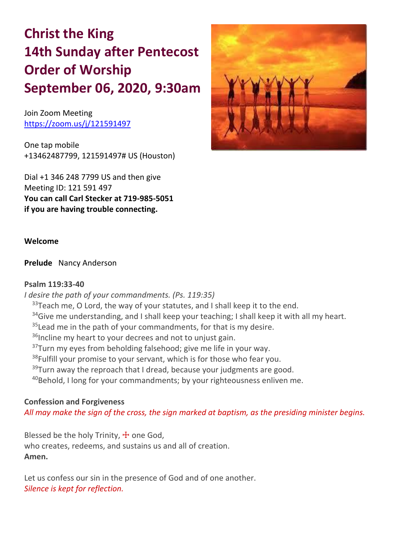# **Christ the King 14th Sunday after Pentecost Order of Worship September 06, 2020, 9:30am**

Join Zoom Meeting https://zoom.us/j/121591497

One tap mobile +13462487799, 121591497# US (Houston)

Dial +1 346 248 7799 US and then give Meeting ID: 121 591 497 **You can call Carl Stecker at 719-985-5051 if you are having trouble connecting.**



#### **Welcome**

**Prelude** Nancy Anderson

#### **Psalm 119:33-40**

*I desire the path of your commandments. (Ps. 119:35)*

 $33$ Teach me, O Lord, the way of your statutes, and I shall keep it to the end.

 $34$ Give me understanding, and I shall keep your teaching; I shall keep it with all my heart.

 $35$  Lead me in the path of your commandments, for that is my desire.

 $36$ Incline my heart to your decrees and not to unjust gain.

 $37$ Turn my eyes from beholding falsehood; give me life in your way.

<sup>38</sup>Fulfill your promise to your servant, which is for those who fear you.

 $39$ Turn away the reproach that I dread, because your judgments are good.

 $40$ Behold, I long for your commandments; by your righteousness enliven me.

# **Confession and Forgiveness**

*All may make the sign of the cross, the sign marked at baptism, as the presiding minister begins.*

Blessed be the holy Trinity,  $\pm$  one God, who creates, redeems, and sustains us and all of creation. **Amen.**

Let us confess our sin in the presence of God and of one another. *Silence is kept for reflection.*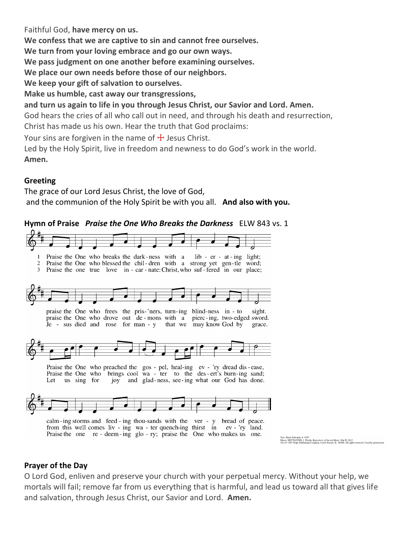Faithful God, **have mercy on us.**

**We confess that we are captive to sin and cannot free ourselves.**

**We turn from your loving embrace and go our own ways.**

**We pass judgment on one another before examining ourselves.**

**We place our own needs before those of our neighbors.**

**We keep your gift of salvation to ourselves.**

**Make us humble, cast away our transgressions,**

**and turn us again to life in you through Jesus Christ, our Savior and Lord. Amen.**

God hears the cries of all who call out in need, and through his death and resurrection, Christ has made us his own. Hear the truth that God proclaims:

Your sins are forgiven in the name of  $\pm$  Jesus Christ.

Led by the Holy Spirit, live in freedom and newness to do God's work in the world. **Amen.**

# **Greeting**

The grace of our Lord Jesus Christ, the love of God, and the communion of the Holy Spirit be with you all. **And also with you.**

**Hymn of Praise** *Praise the One Who Breaks the Darkness* ELW 843 vs. 1



calm-ing storms and feed-ing thou-sands with the ver - y bread of peace. from this well comes liv - ing wa - ter quench-ing thirst in ev - 'ry land. Praise the one re - deem-ing glo-ry; praise the One who makes us one.

Text: Rusty Edwards, b. 1955<br>Music: NETTLETON, J. Wyeth, *Repository of Sacred Music*, Part II, 1813<br>Text © 1987 Hope Publishing Company, Carol Stream, IL. 60188. All rights reserved. Used by permission

# **Prayer of the Day**

O Lord God, enliven and preserve your church with your perpetual mercy. Without your help, we mortals will fail; remove far from us everything that is harmful, and lead us toward all that gives life and salvation, through Jesus Christ, our Savior and Lord. **Amen.**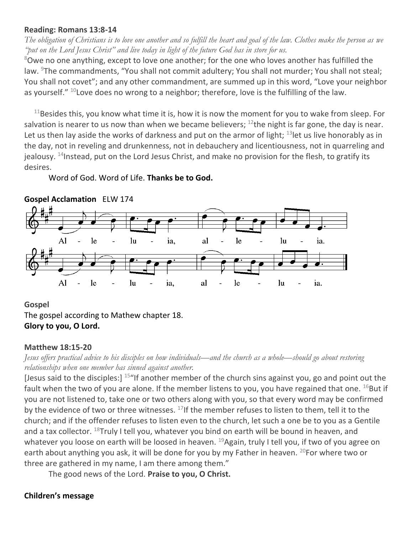#### **Reading: Romans 13:8-14**

*The obligation of Christians is to love one another and so fulfill the heart and goal of the law. Clothes make the person as we "put on the Lord Jesus Christ" and live today in light of the future God has in store for us.*

 $8$ Owe no one anything, except to love one another; for the one who loves another has fulfilled the law. <sup>9</sup>The commandments, "You shall not commit adultery; You shall not murder; You shall not steal; You shall not covet"; and any other commandment, are summed up in this word, "Love your neighbor as yourself."  $10$  Love does no wrong to a neighbor; therefore, love is the fulfilling of the law.

 $11$ Besides this, you know what time it is, how it is now the moment for you to wake from sleep. For salvation is nearer to us now than when we became believers;  $^{12}$ the night is far gone, the day is near. Let us then lay aside the works of darkness and put on the armor of light;  $^{13}$  let us live honorably as in the day, not in reveling and drunkenness, not in debauchery and licentiousness, not in quarreling and jealousy. <sup>14</sup>Instead, put on the Lord Jesus Christ, and make no provision for the flesh, to gratify its desires.

Word of God. Word of Life. **Thanks be to God.**



# **Gospel Acclamation** ELW 174

#### **Gospel**

The gospel according to Mathew chapter 18. **Glory to you, O Lord.**

#### **Matthew 18:15-20**

*Jesus offers practical advice to his disciples on how individuals—and the church as a whole—should go about restoring relationships when one member has sinned against another.*

[Jesus said to the disciples:]  $15$ "If another member of the church sins against you, go and point out the fault when the two of you are alone. If the member listens to you, you have regained that one.  $^{16}$ But if you are not listened to, take one or two others along with you, so that every word may be confirmed by the evidence of two or three witnesses.  $^{17}$  If the member refuses to listen to them, tell it to the church; and if the offender refuses to listen even to the church, let such a one be to you as a Gentile and a tax collector.  $^{18}$ Truly I tell you, whatever you bind on earth will be bound in heaven, and whatever you loose on earth will be loosed in heaven. <sup>19</sup>Again, truly I tell you, if two of you agree on earth about anything you ask, it will be done for you by my Father in heaven.  $^{20}$  For where two or three are gathered in my name, I am there among them."

The good news of the Lord. **Praise to you, O Christ.**

# **Children's message**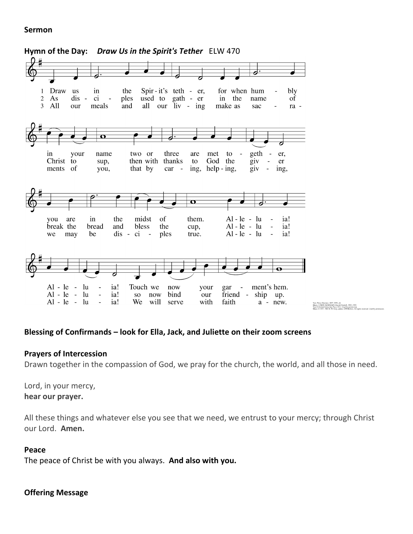#### **Sermon**



#### **Blessing of Confirmands – look for Ella, Jack, and Juliette on their zoom screens**

#### **Prayers of Intercession**

Drawn together in the compassion of God, we pray for the church, the world, and all those in need.

Lord, in your mercy, **hear our prayer.**

All these things and whatever else you see that we need, we entrust to your mercy; through Christ our Lord. **Amen.**

#### **Peace**

The peace of Christ be with you always. **And also with you.**

#### **Offering Message**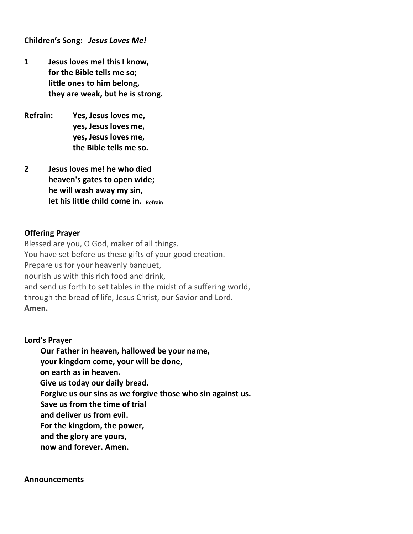**Children's Song:** *Jesus Loves Me!*

- **1 Jesus loves me! this I know, for the Bible tells me so; little ones to him belong, they are weak, but he is strong.**
- **Refrain: Yes, Jesus loves me, yes, Jesus loves me, yes, Jesus loves me, the Bible tells me so.**
- **2 Jesus loves me! he who died heaven's gates to open wide; he will wash away my sin, let his little child come in. Refrain**

#### **Offering Prayer**

Blessed are you, O God, maker of all things. You have set before us these gifts of your good creation. Prepare us for your heavenly banquet, nourish us with this rich food and drink, and send us forth to set tables in the midst of a suffering world, through the bread of life, Jesus Christ, our Savior and Lord. **Amen.**

#### **Lord's Prayer**

**Our Father in heaven, hallowed be your name,**

**your kingdom come, your will be done,**

 **on earth as in heaven.**

 **Give us today our daily bread.**

**Forgive us our sins as we forgive those who sin against us.**

**Save us from the time of trial**

**and deliver us from evil.**

**For the kingdom, the power,**

**and the glory are yours,**

**now and forever. Amen.**

#### **Announcements**